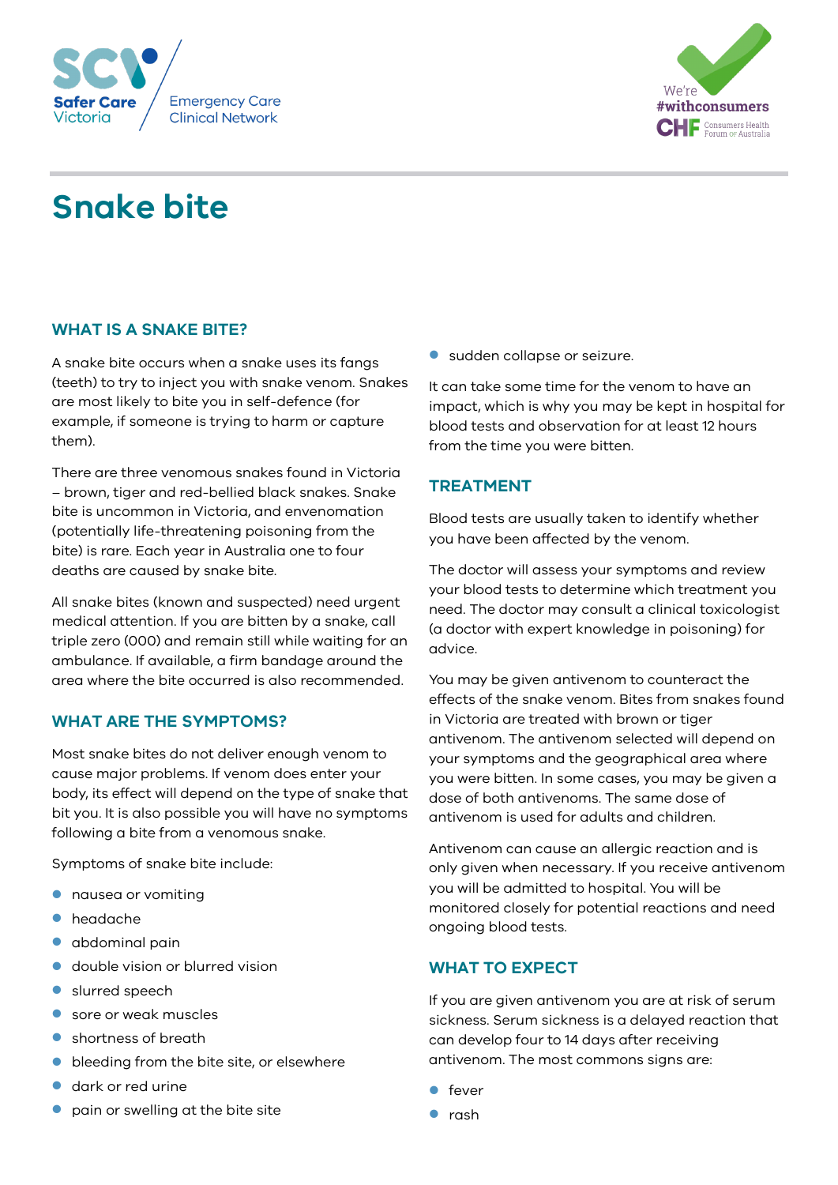



# **Snake bite**

# **WHAT IS A SNAKE BITE?**

A snake bite occurs when a snake uses its fangs (teeth) to try to inject you with snake venom. Snakes are most likely to bite you in self-defence (for example, if someone is trying to harm or capture them).

There are three venomous snakes found in Victoria – brown, tiger and red-bellied black snakes. Snake bite is uncommon in Victoria, and envenomation (potentially life-threatening poisoning from the bite) is rare. Each year in Australia one to four deaths are caused by snake bite.

All snake bites (known and suspected) need urgent medical attention. If you are bitten by a snake, call triple zero (000) and remain still while waiting for an ambulance. If available, a firm bandage around the area where the bite occurred is also recommended.

## **WHAT ARE THE SYMPTOMS?**

Most snake bites do not deliver enough venom to cause major problems. If venom does enter your body, its effect will depend on the type of snake that bit you. It is also possible you will have no symptoms following a bite from a venomous snake.

Symptoms of snake bite include:

- **•** nausea or vomiting
- headache
- **•** abdominal pain
- double vision or blurred vision
- **Slurred speech**
- sore or weak muscles
- **Shortness of breath**
- **•** bleeding from the bite site, or elsewhere
- dark or red urine
- pain or swelling at the bite site

sudden collapse or seizure.

It can take some time for the venom to have an impact, which is why you may be kept in hospital for blood tests and observation for at least 12 hours from the time you were bitten.

# **TREATMENT**

Blood tests are usually taken to identify whether you have been affected by the venom.

The doctor will assess your symptoms and review your blood tests to determine which treatment you need. The doctor may consult a clinical toxicologist (a doctor with expert knowledge in poisoning) for advice.

You may be given antivenom to counteract the effects of the snake venom. Bites from snakes found in Victoria are treated with brown or tiger antivenom. The antivenom selected will depend on your symptoms and the geographical area where you were bitten. In some cases, you may be given a dose of both antivenoms. The same dose of antivenom is used for adults and children.

Antivenom can cause an allergic reaction and is only given when necessary. If you receive antivenom you will be admitted to hospital. You will be monitored closely for potential reactions and need ongoing blood tests.

## **WHAT TO EXPECT**

If you are given antivenom you are at risk of serum sickness. Serum sickness is a delayed reaction that can develop four to 14 days after receiving antivenom. The most commons signs are:

- $\bullet$  fever
- **•** rash